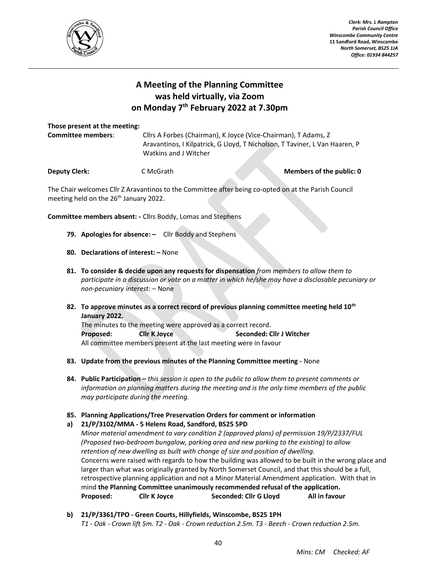

Clerk: Mrs. L Rampton Parish Council Office Winscombe Community Centre 11 Sandford Road, Winscombe North Somerset, BS25 1JA Office: 01934 844257

## A Meeting of the Planning Committee was held virtually, via Zoom on Monday 7<sup>th</sup> February 2022 at 7.30pm

## Those present at the meeting:

| <b>Committee members:</b> | Cllrs A Forbes (Chairman), K Joyce (Vice-Chairman), T Adams, Z              |
|---------------------------|-----------------------------------------------------------------------------|
|                           | Aravantinos, I Kilpatrick, G Lloyd, T Nicholson, T Taviner, L Van Haaren, P |
|                           | Watkins and J Witcher                                                       |
|                           |                                                                             |

**Deputy Clerk:** C McGrath **C McGrath** Members of the public: 0

The Chair welcomes Cllr Z Aravantinos to the Committee after being co-opted on at the Parish Council meeting held on the 26<sup>th</sup> January 2022.

Committee members absent: - Cllrs Boddy, Lomas and Stephens

- 79. Apologies for absence:  $-$  Cllr Boddy and Stephens
- 80. Declarations of interest: None
- 81. To consider & decide upon any requests for dispensation from members to allow them to participate in a discussion or vote on a matter in which he/she may have a disclosable pecuniary or non-pecuniary interest: – None
- 82. To approve minutes as a correct record of previous planning committee meeting held  $10<sup>th</sup>$ January 2022. The minutes to the meeting were approved as a correct record. Proposed: Cllr K Joyce Seconded: Cllr J Witcher All committee members present at the last meeting were in favour
- 83. Update from the previous minutes of the Planning Committee meeting None
- 84. Public Participation this session is open to the public to allow them to present comments or information on planning matters during the meeting and is the only time members of the public may participate during the meeting.

## 85. Planning Applications/Tree Preservation Orders for comment or information

a) 21/P/3102/MMA - 5 Helens Road, Sandford, BS25 5PD

Minor material amendment to vary condition 2 (approved plans) of permission 19/P/2337/FUL (Proposed two-bedroom bungalow, parking area and new parking to the existing) to allow retention of new dwelling as built with change of size and position of dwelling. Concerns were raised with regards to how the building was allowed to be built in the wrong place and larger than what was originally granted by North Somerset Council, and that this should be a full, retrospective planning application and not a Minor Material Amendment application. With that in mind the Planning Committee unanimously recommended refusal of the application. Proposed: Cllr K Joyce Seconded: Cllr G Lloyd All in favour

b) 21/P/3361/TPO - Green Courts, Hillyfields, Winscombe, BS25 1PH T1 - Oak - Crown lift 5m. T2 - Oak - Crown reduction 2.5m. T3 - Beech - Crown reduction 2.5m.